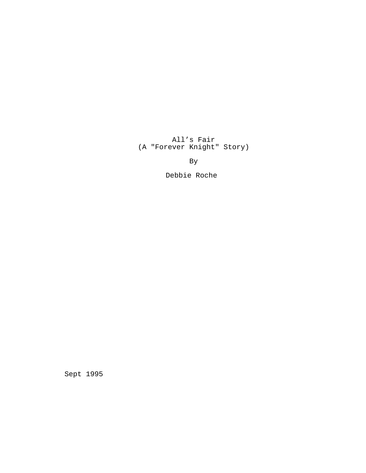All's Fair (A "Forever Knight" Story)

By

Debbie Roche

Sept 1995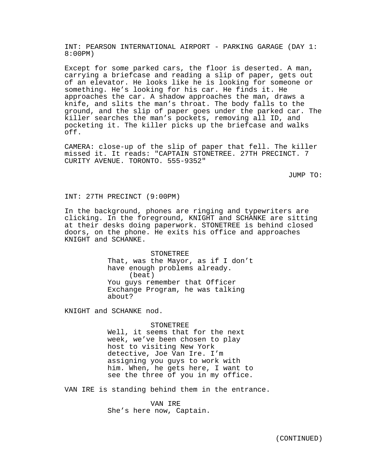INT: PEARSON INTERNATIONAL AIRPORT - PARKING GARAGE (DAY 1: 8:00PM)

Except for some parked cars, the floor is deserted. A man, carrying a briefcase and reading a slip of paper, gets out of an elevator. He looks like he is looking for someone or something. He's looking for his car. He finds it. He approaches the car. A shadow approaches the man, draws a knife, and slits the man's throat. The body falls to the ground, and the slip of paper goes under the parked car. The killer searches the man's pockets, removing all ID, and pocketing it. The killer picks up the briefcase and walks off.

CAMERA: close-up of the slip of paper that fell. The killer missed it. It reads: "CAPTAIN STONETREE. 27TH PRECINCT. 7 CURITY AVENUE. TORONTO. 555-9352"

JUMP TO:

INT: 27TH PRECINCT (9:00PM)

In the background, phones are ringing and typewriters are clicking. In the foreground, KNIGHT and SCHANKE are sitting at their desks doing paperwork. STONETREE is behind closed doors, on the phone. He exits his office and approaches KNIGHT and SCHANKE.

> STONETREE That, was the Mayor, as if I don't have enough problems already. (beat) You guys remember that Officer Exchange Program, he was talking about?

KNIGHT and SCHANKE nod.

STONETREE

Well, it seems that for the next week, we've been chosen to play host to visiting New York detective, Joe Van Ire. I'm assigning you guys to work with him. When, he gets here, I want to see the three of you in my office.

VAN IRE is standing behind them in the entrance.

VAN IRE She's here now, Captain.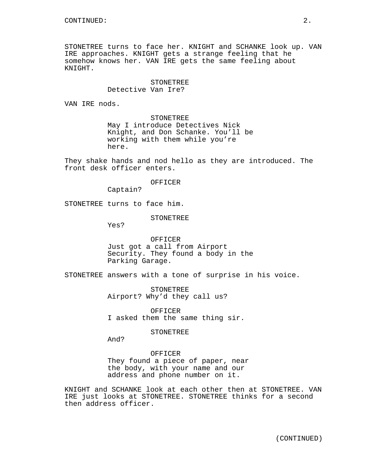STONETREE turns to face her. KNIGHT and SCHANKE look up. VAN IRE approaches. KNIGHT gets a strange feeling that he somehow knows her. VAN IRE gets the same feeling about KNIGHT.

# STONETREE Detective Van Ire?

VAN IRE nods.

STONETREE May I introduce Detectives Nick Knight, and Don Schanke. You'll be working with them while you're here.

They shake hands and nod hello as they are introduced. The front desk officer enters.

### OFFICER

Captain?

STONETREE turns to face him.

# STONETREE

Yes?

OFFICER Just got a call from Airport Security. They found a body in the Parking Garage.

STONETREE answers with a tone of surprise in his voice.

STONETREE Airport? Why'd they call us?

OFFICER I asked them the same thing sir.

## STONETREE

And?

# OFFICER

They found a piece of paper, near the body, with your name and our address and phone number on it.

KNIGHT and SCHANKE look at each other then at STONETREE. VAN IRE just looks at STONETREE. STONETREE thinks for a second then address officer.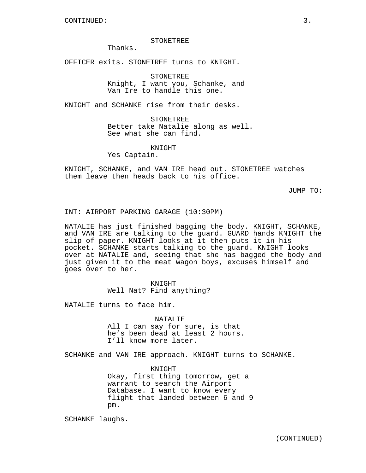#### STONETREE

Thanks.

OFFICER exits. STONETREE turns to KNIGHT.

STONETREE

Knight, I want you, Schanke, and Van Ire to handle this one.

KNIGHT and SCHANKE rise from their desks.

**STONETREE** Better take Natalie along as well. See what she can find.

KNIGHT

Yes Captain.

KNIGHT, SCHANKE, and VAN IRE head out. STONETREE watches them leave then heads back to his office.

JUMP TO:

INT: AIRPORT PARKING GARAGE (10:30PM)

NATALIE has just finished bagging the body. KNIGHT, SCHANKE, and VAN IRE are talking to the guard. GUARD hands KNIGHT the slip of paper. KNIGHT looks at it then puts it in his pocket. SCHANKE starts talking to the guard. KNIGHT looks over at NATALIE and, seeing that she has bagged the body and just given it to the meat wagon boys, excuses himself and goes over to her.

KNIGHT

Well Nat? Find anything?

NATALIE turns to face him.

NATALIE

All I can say for sure, is that he's been dead at least 2 hours. I'll know more later.

SCHANKE and VAN IRE approach. KNIGHT turns to SCHANKE.

KNIGHT Okay, first thing tomorrow, get a warrant to search the Airport Database. I want to know every flight that landed between 6 and 9 pm.

SCHANKE laughs.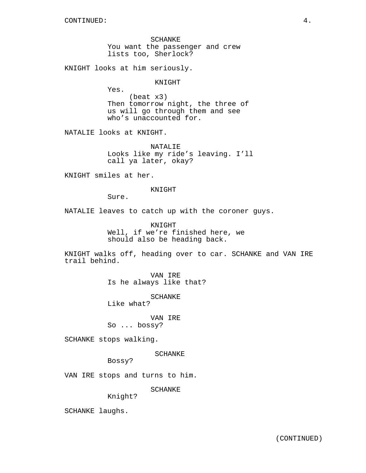SCHANKE You want the passenger and crew lists too, Sherlock?

KNIGHT looks at him seriously.

KNIGHT

Yes. (beat x3) Then tomorrow night, the three of us will go through them and see who's unaccounted for.

NATALIE looks at KNIGHT.

NATALIE Looks like my ride's leaving. I'll call ya later, okay?

KNIGHT smiles at her.

KNIGHT

Sure.

NATALIE leaves to catch up with the coroner guys.

KNIGHT Well, if we're finished here, we should also be heading back.

KNIGHT walks off, heading over to car. SCHANKE and VAN IRE trail behind.

> VAN IRE Is he always like that?

> > SCHANKE

Like what?

VAN IRE

So ... bossy?

SCHANKE stops walking.

SCHANKE

Bossy?

VAN IRE stops and turns to him.

SCHANKE

Knight?

SCHANKE laughs.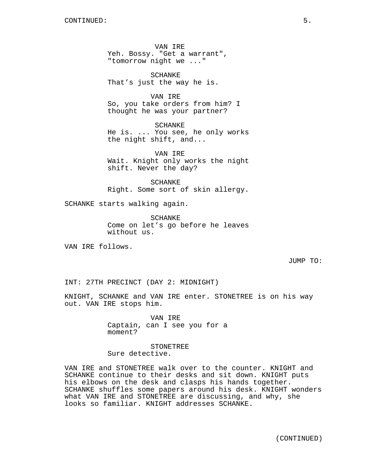VAN IRE Yeh. Bossy. "Get a warrant", "tomorrow night we ..."

SCHANKE That's just the way he is.

VAN IRE So, you take orders from him? I thought he was your partner?

SCHANKE He is. ... You see, he only works the night shift, and...

VAN IRE Wait. Knight only works the night shift. Never the day?

SCHANKE Right. Some sort of skin allergy.

SCHANKE starts walking again.

SCHANKE Come on let's go before he leaves without us.

VAN IRE follows.

JUMP TO:

INT: 27TH PRECINCT (DAY 2: MIDNIGHT)

KNIGHT, SCHANKE and VAN IRE enter. STONETREE is on his way out. VAN IRE stops him.

> VAN IRE Captain, can I see you for a moment?

STONETREE Sure detective.

VAN IRE and STONETREE walk over to the counter. KNIGHT and SCHANKE continue to their desks and sit down. KNIGHT puts his elbows on the desk and clasps his hands together. SCHANKE shuffles some papers around his desk. KNIGHT wonders what VAN IRE and STONETREE are discussing, and why, she looks so familiar. KNIGHT addresses SCHANKE.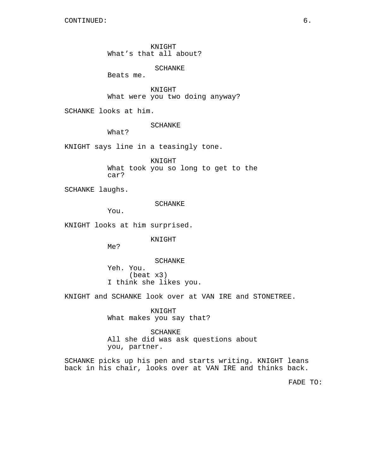KNIGHT What's that all about?

SCHANKE

Beats me.

KNIGHT What were you two doing anyway?

SCHANKE looks at him.

SCHANKE

What?

KNIGHT says line in a teasingly tone.

KNIGHT What took you so long to get to the car?

SCHANKE laughs.

SCHANKE

You.

KNIGHT looks at him surprised.

KNIGHT

Me?

SCHANKE Yeh. You. (beat x3) I think she likes you.

KNIGHT and SCHANKE look over at VAN IRE and STONETREE.

KNIGHT What makes you say that?

SCHANKE All she did was ask questions about you, partner.

SCHANKE picks up his pen and starts writing. KNIGHT leans back in his chair, looks over at VAN IRE and thinks back.

FADE TO: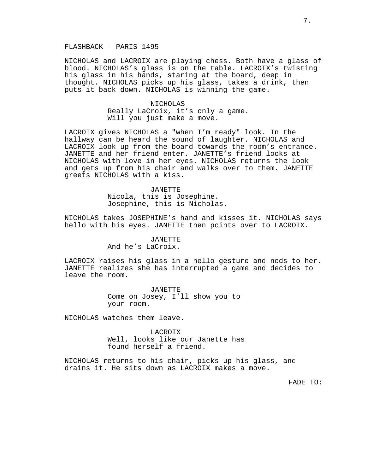# FLASHBACK - PARIS 1495

NICHOLAS and LACROIX are playing chess. Both have a glass of blood. NICHOLAS's glass is on the table. LACROIX's twisting his glass in his hands, staring at the board, deep in thought. NICHOLAS picks up his glass, takes a drink, then puts it back down. NICHOLAS is winning the game.

> NICHOLAS Really LaCroix, it's only a game. Will you just make a move.

LACROIX gives NICHOLAS a "when I'm ready" look. In the hallway can be heard the sound of laughter. NICHOLAS and LACROIX look up from the board towards the room's entrance. JANETTE and her friend enter. JANETTE's friend looks at NICHOLAS with love in her eyes. NICHOLAS returns the look and gets up from his chair and walks over to them. JANETTE greets NICHOLAS with a kiss.

> JANETTE Nicola, this is Josephine. Josephine, this is Nicholas.

NICHOLAS takes JOSEPHINE's hand and kisses it. NICHOLAS says hello with his eyes. JANETTE then points over to LACROIX.

# JANETTE And he's LaCroix.

LACROIX raises his glass in a hello gesture and nods to her. JANETTE realizes she has interrupted a game and decides to leave the room.

> JANETTE Come on Josey, I'll show you to your room.

NICHOLAS watches them leave.

LACROIX Well, looks like our Janette has found herself a friend.

NICHOLAS returns to his chair, picks up his glass, and drains it. He sits down as LACROIX makes a move.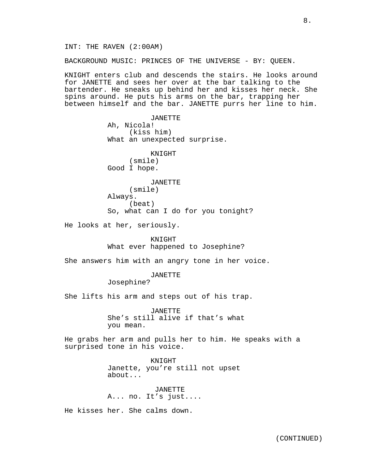8.

INT: THE RAVEN (2:00AM)

BACKGROUND MUSIC: PRINCES OF THE UNIVERSE - BY: QUEEN.

KNIGHT enters club and descends the stairs. He looks around for JANETTE and sees her over at the bar talking to the bartender. He sneaks up behind her and kisses her neck. She spins around. He puts his arms on the bar, trapping her between himself and the bar. JANETTE purrs her line to him.

> JANETTE Ah, Nicola! (kiss him) What an unexpected surprise.

KNIGHT (smile) Good I hope.

JANETTE (smile) Always. (beat) So, what can I do for you tonight?

He looks at her, seriously.

KNIGHT What ever happened to Josephine?

She answers him with an angry tone in her voice.

JANETTE

Josephine?

She lifts his arm and steps out of his trap.

JANETTE She's still alive if that's what you mean.

He grabs her arm and pulls her to him. He speaks with a surprised tone in his voice.

> KNIGHT Janette, you're still not upset about...

JANETTE A... no. It's just....

He kisses her. She calms down.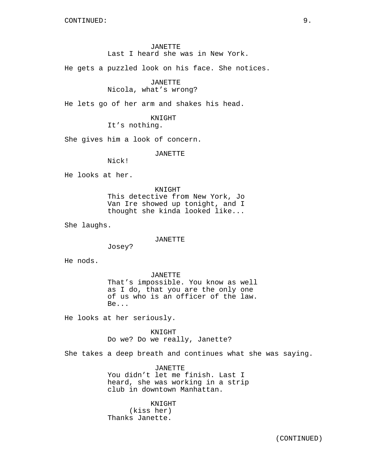# JANETTE Last I heard she was in New York.

He gets a puzzled look on his face. She notices.

# JANETTE

# Nicola, what's wrong?

He lets go of her arm and shakes his head.

# KNIGHT It's nothing.

She gives him a look of concern.

JANETTE

Nick!

He looks at her.

KNIGHT This detective from New York, Jo Van Ire showed up tonight, and I thought she kinda looked like...

She laughs.

#### JANETTE

Josey?

He nods.

JANETTE That's impossible. You know as well as I do, that you are the only one of us who is an officer of the law. Be...

He looks at her seriously.

KNIGHT Do we? Do we really, Janette?

She takes a deep breath and continues what she was saying.

JANETTE You didn't let me finish. Last I heard, she was working in a strip club in downtown Manhattan.

KNIGHT (kiss her) Thanks Janette.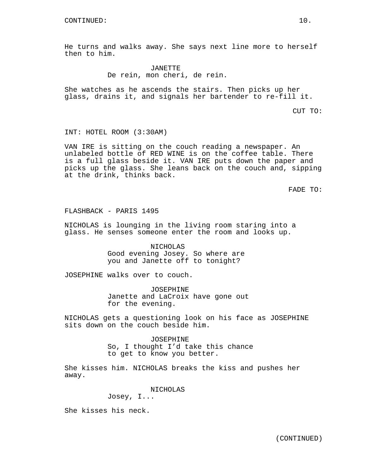He turns and walks away. She says next line more to herself then to him.

> JANETTE De rein, mon cheri, de rein.

She watches as he ascends the stairs. Then picks up her glass, drains it, and signals her bartender to re-fill it.

CUT TO:

INT: HOTEL ROOM (3:30AM)

VAN IRE is sitting on the couch reading a newspaper. An unlabeled bottle of RED WINE is on the coffee table. There is a full glass beside it. VAN IRE puts down the paper and picks up the glass. She leans back on the couch and, sipping at the drink, thinks back.

FADE TO:

FLASHBACK - PARIS 1495

NICHOLAS is lounging in the living room staring into a glass. He senses someone enter the room and looks up.

> NICHOLAS Good evening Josey. So where are you and Janette off to tonight?

JOSEPHINE walks over to couch.

JOSEPHINE Janette and LaCroix have gone out for the evening.

NICHOLAS gets a questioning look on his face as JOSEPHINE sits down on the couch beside him.

> JOSEPHINE So, I thought I'd take this chance to get to know you better.

She kisses him. NICHOLAS breaks the kiss and pushes her away.

NICHOLAS

Josey, I...

She kisses his neck.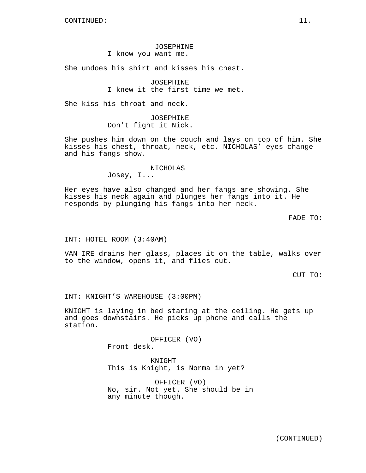# JOSEPHINE

I know you want me.

She undoes his shirt and kisses his chest.

JOSEPHINE I knew it the first time we met.

She kiss his throat and neck.

JOSEPHINE Don't fight it Nick.

She pushes him down on the couch and lays on top of him. She kisses his chest, throat, neck, etc. NICHOLAS' eyes change and his fangs show.

#### NICHOLAS

Josey, I...

Her eyes have also changed and her fangs are showing. She kisses his neck again and plunges her fangs into it. He responds by plunging his fangs into her neck.

FADE TO:

INT: HOTEL ROOM (3:40AM)

VAN IRE drains her glass, places it on the table, walks over to the window, opens it, and flies out.

CUT TO:

INT: KNIGHT'S WAREHOUSE (3:00PM)

KNIGHT is laying in bed staring at the ceiling. He gets up and goes downstairs. He picks up phone and calls the station.

> OFFICER (VO) Front desk.

KNIGHT This is Knight, is Norma in yet?

OFFICER (VO) No, sir. Not yet. She should be in any minute though.

(CONTINUED)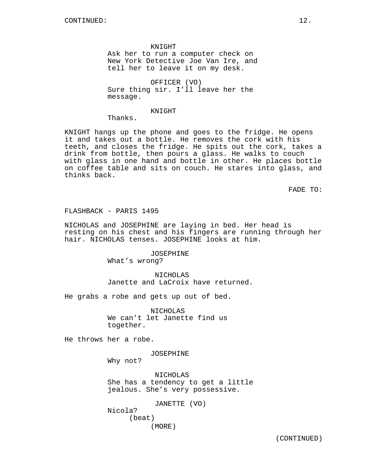KNIGHT

Ask her to run a computer check on New York Detective Joe Van Ire, and tell her to leave it on my desk.

OFFICER (VO) Sure thing sir. I'll leave her the message.

#### KNIGHT

Thanks.

KNIGHT hangs up the phone and goes to the fridge. He opens it and takes out a bottle. He removes the cork with his teeth, and closes the fridge. He spits out the cork, takes a drink from bottle, then pours a glass. He walks to couch with glass in one hand and bottle in other. He places bottle on coffee table and sits on couch. He stares into glass, and thinks back.

FADE TO:

FLASHBACK - PARIS 1495

NICHOLAS and JOSEPHINE are laying in bed. Her head is resting on his chest and his fingers are running through her hair. NICHOLAS tenses. JOSEPHINE looks at him.

> JOSEPHINE What's wrong?

NICHOLAS Janette and LaCroix have returned.

He grabs a robe and gets up out of bed.

NICHOLAS We can't let Janette find us together.

He throws her a robe.

JOSEPHINE

Why not?

NICHOLAS She has a tendency to get a little jealous. She's very possessive.

JANETTE (VO) Nicola? (beat) (MORE)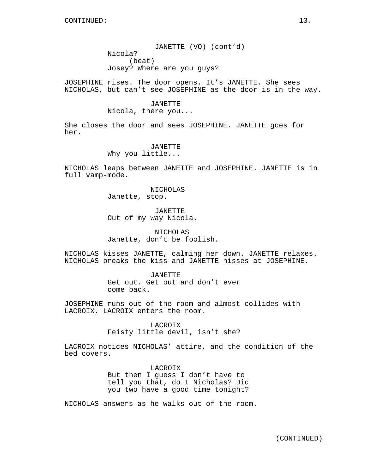JANETTE (VO) (cont'd) Nicola? (beat) Josey? Where are you guys?

JOSEPHINE rises. The door opens. It's JANETTE. She sees NICHOLAS, but can't see JOSEPHINE as the door is in the way.

# JANETTE Nicola, there you...

She closes the door and sees JOSEPHINE. JANETTE goes for her.

#### JANETTE

Why you little...

NICHOLAS leaps between JANETTE and JOSEPHINE. JANETTE is in full vamp-mode.

> NICHOLAS Janette, stop.

JANETTE Out of my way Nicola.

# NICHOLAS Janette, don't be foolish.

NICHOLAS kisses JANETTE, calming her down. JANETTE relaxes. NICHOLAS breaks the kiss and JANETTE hisses at JOSEPHINE.

# JANETTE Get out. Get out and don't ever come back.

JOSEPHINE runs out of the room and almost collides with LACROIX. LACROIX enters the room.

> LACROIX Feisty little devil, isn't she?

LACROIX notices NICHOLAS' attire, and the condition of the bed covers.

> LACROIX But then I guess I don't have to tell you that, do I Nicholas? Did you two have a good time tonight?

NICHOLAS answers as he walks out of the room.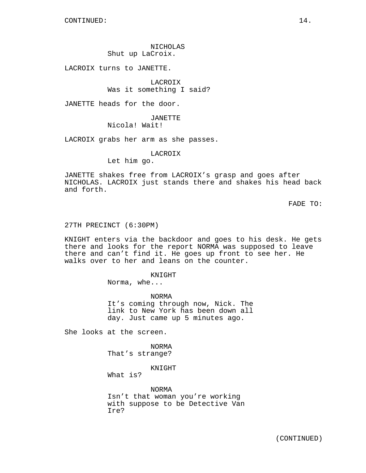# NICHOLAS Shut up LaCroix.

LACROIX turns to JANETTE.

LACROIX Was it something I said?

JANETTE heads for the door.

JANETTE Nicola! Wait!

LACROIX grabs her arm as she passes.

LACROIX

Let him go.

JANETTE shakes free from LACROIX's grasp and goes after NICHOLAS. LACROIX just stands there and shakes his head back and forth.

FADE TO:

#### 27TH PRECINCT (6:30PM)

KNIGHT enters via the backdoor and goes to his desk. He gets there and looks for the report NORMA was supposed to leave there and can't find it. He goes up front to see her. He walks over to her and leans on the counter.

KNIGHT

Norma, whe...

NORMA It's coming through now, Nick. The link to New York has been down all day. Just came up 5 minutes ago.

She looks at the screen.

NORMA That's strange?

KNIGHT

What is?

NORMA Isn't that woman you're working with suppose to be Detective Van Ire?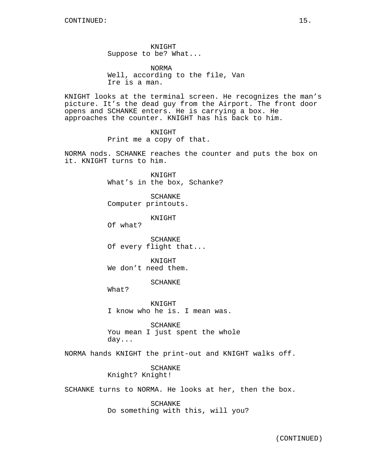KNIGHT Suppose to be? What...

NORMA Well, according to the file, Van Ire is a man.

KNIGHT looks at the terminal screen. He recognizes the man's picture. It's the dead guy from the Airport. The front door opens and SCHANKE enters. He is carrying a box. He approaches the counter. KNIGHT has his back to him.

## KNIGHT

Print me a copy of that.

NORMA nods. SCHANKE reaches the counter and puts the box on it. KNIGHT turns to him.

> KNIGHT What's in the box, Schanke?

SCHANKE Computer printouts.

KNIGHT

Of what?

SCHANKE Of every flight that...

**KNIGHT** We don't need them.

#### SCHANKE

What?

KNIGHT I know who he is. I mean was.

SCHANKE You mean I just spent the whole day...

NORMA hands KNIGHT the print-out and KNIGHT walks off.

SCHANKE Knight? Knight!

SCHANKE turns to NORMA. He looks at her, then the box.

SCHANKE Do something with this, will you?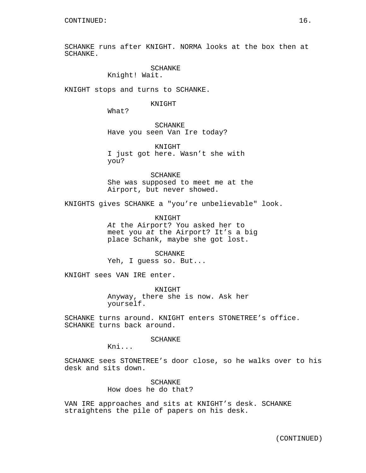SCHANKE runs after KNIGHT. NORMA looks at the box then at SCHANKE.

# SCHANKE

Knight! Wait.

KNIGHT stops and turns to SCHANKE.

#### KNIGHT

What?

SCHANKE Have you seen Van Ire today?

KNIGHT I just got here. Wasn't she with you?

SCHANKE She was supposed to meet me at the Airport, but never showed.

KNIGHTS gives SCHANKE a "you're unbelievable" look.

KNIGHT At the Airport? You asked her to meet you at the Airport? It's a big place Schank, maybe she got lost.

SCHANKE Yeh, I guess so. But...

KNIGHT sees VAN IRE enter.

KNIGHT Anyway, there she is now. Ask her yourself.

SCHANKE turns around. KNIGHT enters STONETREE's office. SCHANKE turns back around.

**SCHANKE** 

Kni...

SCHANKE sees STONETREE's door close, so he walks over to his desk and sits down.

> SCHANKE How does he do that?

VAN IRE approaches and sits at KNIGHT's desk. SCHANKE straightens the pile of papers on his desk.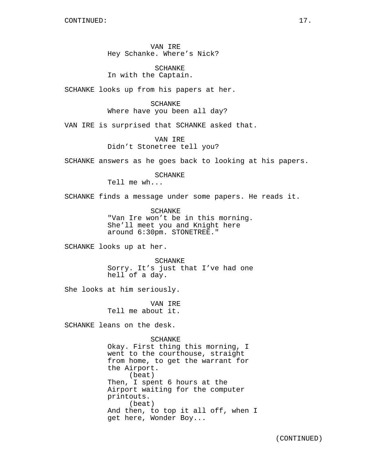VAN IRE Hey Schanke. Where's Nick?

SCHANKE In with the Captain.

SCHANKE looks up from his papers at her.

SCHANKE Where have you been all day?

VAN IRE is surprised that SCHANKE asked that.

VAN IRE Didn't Stonetree tell you?

SCHANKE answers as he goes back to looking at his papers.

SCHANKE

Tell me wh...

SCHANKE finds a message under some papers. He reads it.

SCHANKE "Van Ire won't be in this morning. She'll meet you and Knight here around 6:30pm. STONETREE."

SCHANKE looks up at her.

SCHANKE Sorry. It's just that I've had one hell of a day.

She looks at him seriously.

VAN IRE Tell me about it.

SCHANKE leans on the desk.

SCHANKE Okay. First thing this morning, I went to the courthouse, straight from home, to get the warrant for the Airport. (beat) Then, I spent 6 hours at the Airport waiting for the computer printouts. (beat) And then, to top it all off, when I get here, Wonder Boy...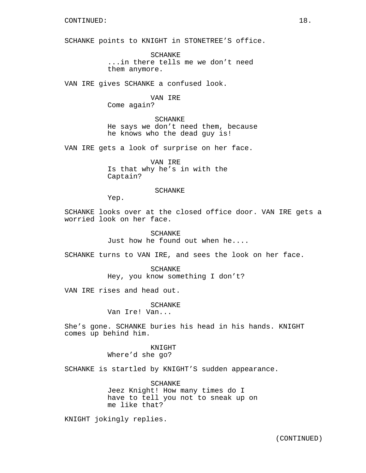SCHANKE points to KNIGHT in STONETREE'S office.

SCHANKE ...in there tells me we don't need them anymore.

VAN IRE gives SCHANKE a confused look.

# VAN IRE Come again?

SCHANKE He says we don't need them, because he knows who the dead guy is!

VAN IRE gets a look of surprise on her face.

VAN IRE Is that why he's in with the Captain?

# SCHANKE

Yep.

SCHANKE looks over at the closed office door. VAN IRE gets a worried look on her face.

> SCHANKE Just how he found out when he....

SCHANKE turns to VAN IRE, and sees the look on her face.

SCHANKE Hey, you know something I don't?

VAN IRE rises and head out.

SCHANKE

Van Ire! Van...

She's gone. SCHANKE buries his head in his hands. KNIGHT comes up behind him.

> KNIGHT Where'd she go?

SCHANKE is startled by KNIGHT'S sudden appearance.

SCHANKE Jeez Knight! How many times do I have to tell you not to sneak up on me like that?

KNIGHT jokingly replies.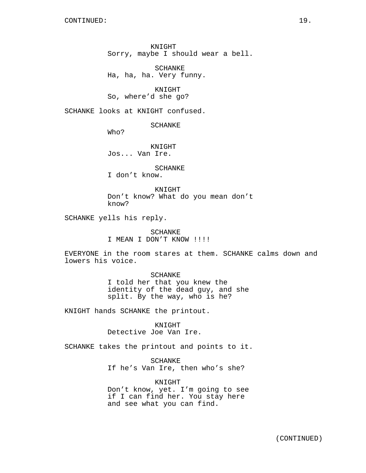KNIGHT Sorry, maybe I should wear a bell.

SCHANKE Ha, ha, ha. Very funny.

KNIGHT So, where'd she go?

SCHANKE looks at KNIGHT confused.

SCHANKE

Who?

KNIGHT Jos... Van Ire.

SCHANKE

I don't know.

KNIGHT Don't know? What do you mean don't know?

SCHANKE yells his reply.

SCHANKE I MEAN I DON'T KNOW !!!!

EVERYONE in the room stares at them. SCHANKE calms down and lowers his voice.

SCHANKE

I told her that you knew the identity of the dead guy, and she split. By the way, who is he?

KNIGHT hands SCHANKE the printout.

KNIGHT Detective Joe Van Ire.

SCHANKE takes the printout and points to it.

SCHANKE If he's Van Ire, then who's she?

KNIGHT Don't know, yet. I'm going to see if I can find her. You stay here and see what you can find.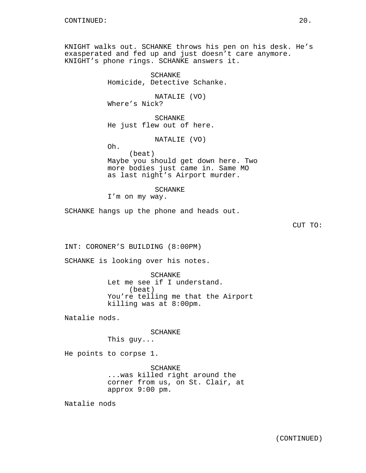KNIGHT walks out. SCHANKE throws his pen on his desk. He's exasperated and fed up and just doesn't care anymore. KNIGHT's phone rings. SCHANKE answers it.

> SCHANKE Homicide, Detective Schanke.

NATALIE (VO) Where's Nick?

SCHANKE He just flew out of here.

NATALIE (VO)

Oh. (beat) Maybe you should get down here. Two more bodies just came in. Same MO as last night's Airport murder.

SCHANKE

I'm on my way.

SCHANKE hangs up the phone and heads out.

CUT TO:

INT: CORONER'S BUILDING (8:00PM)

SCHANKE is looking over his notes.

SCHANKE Let me see if I understand. (beat) You're telling me that the Airport killing was at 8:00pm.

Natalie nods.

SCHANKE This guy...

He points to corpse 1.

SCHANKE ...was killed right around the corner from us, on St. Clair, at approx 9:00 pm.

Natalie nods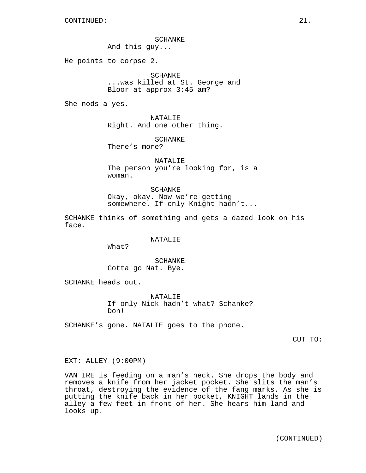SCHANKE

And this guy...

He points to corpse 2.

SCHANKE ...was killed at St. George and Bloor at approx 3:45 am?

She nods a yes.

NATALIE Right. And one other thing.

SCHANKE There's more?

NATALIE The person you're looking for, is a woman.

SCHANKE Okay, okay. Now we're getting somewhere. If only Knight hadn't...

SCHANKE thinks of something and gets a dazed look on his face.

# NATALIE

What?

SCHANKE Gotta go Nat. Bye.

SCHANKE heads out.

NATALIE If only Nick hadn't what? Schanke? Don!

SCHANKE's gone. NATALIE goes to the phone.

CUT TO:

#### EXT: ALLEY (9:00PM)

VAN IRE is feeding on a man's neck. She drops the body and removes a knife from her jacket pocket. She slits the man's throat, destroying the evidence of the fang marks. As she is putting the knife back in her pocket, KNIGHT lands in the alley a few feet in front of her. She hears him land and looks up.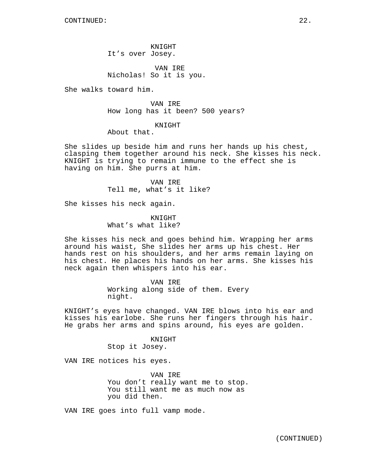KNIGHT It's over Josey.

VAN IRE Nicholas! So it is you.

She walks toward him.

VAN IRE How long has it been? 500 years?

KNIGHT

About that.

She slides up beside him and runs her hands up his chest, clasping them together around his neck. She kisses his neck. KNIGHT is trying to remain immune to the effect she is having on him. She purrs at him.

> VAN IRE Tell me, what's it like?

She kisses his neck again.

KNIGHT What's what like?

She kisses his neck and goes behind him. Wrapping her arms around his waist, She slides her arms up his chest. Her hands rest on his shoulders, and her arms remain laying on his chest. He places his hands on her arms. She kisses his neck again then whispers into his ear.

> VAN IRE Working along side of them. Every night.

KNIGHT's eyes have changed. VAN IRE blows into his ear and kisses his earlobe. She runs her fingers through his hair. He grabs her arms and spins around, his eyes are golden.

KNIGHT

Stop it Josey.

VAN IRE notices his eyes.

VAN IRE You don't really want me to stop. You still want me as much now as you did then.

VAN IRE goes into full vamp mode.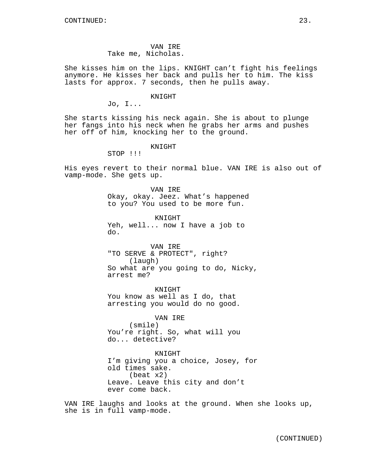VAN IRE Take me, Nicholas.

She kisses him on the lips. KNIGHT can't fight his feelings anymore. He kisses her back and pulls her to him. The kiss lasts for approx. 7 seconds, then he pulls away.

KNIGHT

Jo, I...

She starts kissing his neck again. She is about to plunge her fangs into his neck when he grabs her arms and pushes her off of him, knocking her to the ground.

KNIGHT

STOP !!!

His eyes revert to their normal blue. VAN IRE is also out of vamp-mode. She gets up.

> VAN IRE Okay, okay. Jeez. What's happened to you? You used to be more fun.

KNIGHT Yeh, well... now I have a job to do.

VAN IRE "TO SERVE & PROTECT", right? (laugh) So what are you going to do, Nicky, arrest me?

KNIGHT You know as well as I do, that arresting you would do no good.

VAN IRE

(smile) You're right. So, what will you do... detective?

KNIGHT I'm giving you a choice, Josey, for old times sake. (beat x2) Leave. Leave this city and don't ever come back.

VAN IRE laughs and looks at the ground. When she looks up, she is in full vamp-mode.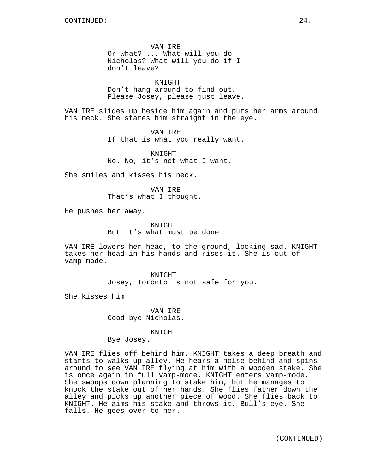VAN IRE Or what? ... What will you do Nicholas? What will you do if I don't leave?

KNIGHT Don't hang around to find out. Please Josey, please just leave.

VAN IRE slides up beside him again and puts her arms around his neck. She stares him straight in the eye.

> VAN IRE If that is what you really want.

KNIGHT No. No, it's not what I want.

She smiles and kisses his neck.

VAN IRE That's what I thought.

He pushes her away.

KNIGHT But it's what must be done.

VAN IRE lowers her head, to the ground, looking sad. KNIGHT takes her head in his hands and rises it. She is out of vamp-mode.

> KNIGHT Josey, Toronto is not safe for you.

She kisses him

VAN IRE Good-bye Nicholas.

KNIGHT

Bye Josey.

VAN IRE flies off behind him. KNIGHT takes a deep breath and starts to walks up alley. He hears a noise behind and spins around to see VAN IRE flying at him with a wooden stake. She is once again in full vamp-mode. KNIGHT enters vamp-mode. She swoops down planning to stake him, but he manages to knock the stake out of her hands. She flies father down the alley and picks up another piece of wood. She flies back to KNIGHT. He aims his stake and throws it. Bull's eye. She falls. He goes over to her.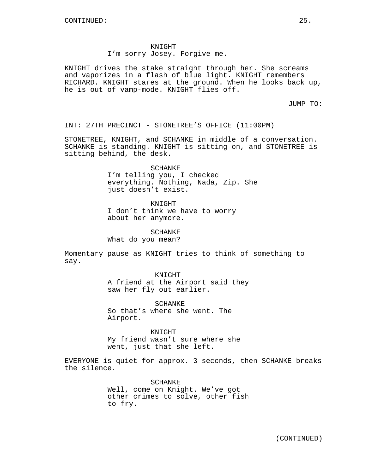KNIGHT I'm sorry Josey. Forgive me.

KNIGHT drives the stake straight through her. She screams and vaporizes in a flash of blue light. KNIGHT remembers RICHARD. KNIGHT stares at the ground. When he looks back up, he is out of vamp-mode. KNIGHT flies off.

JUMP TO:

INT: 27TH PRECINCT - STONETREE'S OFFICE (11:00PM)

STONETREE, KNIGHT, and SCHANKE in middle of a conversation. SCHANKE is standing. KNIGHT is sitting on, and STONETREE is sitting behind, the desk.

SCHANKE

I'm telling you, I checked everything. Nothing, Nada, Zip. She just doesn't exist.

KNIGHT

I don't think we have to worry about her anymore.

SCHANKE

What do you mean?

Momentary pause as KNIGHT tries to think of something to say.

KNIGHT

A friend at the Airport said they saw her fly out earlier.

SCHANKE So that's where she went. The Airport.

KNIGHT My friend wasn't sure where she went, just that she left.

EVERYONE is quiet for approx. 3 seconds, then SCHANKE breaks the silence.

> SCHANKE Well, come on Knight. We've got other crimes to solve, other fish to fry.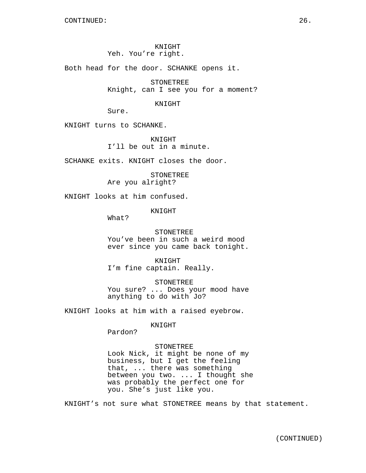KNIGHT Yeh. You're right.

Both head for the door. SCHANKE opens it.

STONETREE Knight, can I see you for a moment?

KNIGHT

Sure.

KNIGHT turns to SCHANKE.

KNIGHT I'll be out in a minute.

SCHANKE exits. KNIGHT closes the door.

STONETREE Are you alright?

KNIGHT looks at him confused.

KNIGHT

What?

STONETREE You've been in such a weird mood ever since you came back tonight.

KNIGHT I'm fine captain. Really.

**STONETREE** You sure? ... Does your mood have anything to do with Jo?

KNIGHT looks at him with a raised eyebrow.

KNIGHT

you. She's just like you.

Pardon?

STONETREE Look Nick, it might be none of my business, but I get the feeling that, ... there was something between you two. ... I thought she

was probably the perfect one for

KNIGHT's not sure what STONETREE means by that statement.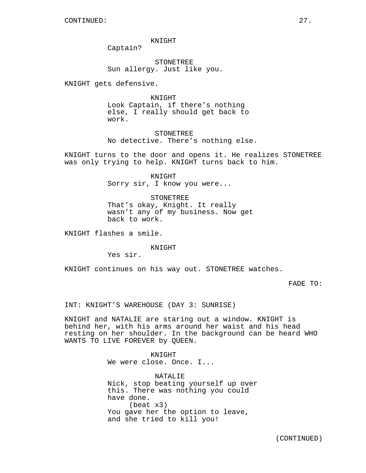KNIGHT

Captain?

STONETREE Sun allergy. Just like you.

KNIGHT gets defensive.

KNIGHT Look Captain, if there's nothing else, I really should get back to work.

STONETREE No detective. There's nothing else.

KNIGHT turns to the door and opens it. He realizes STONETREE was only trying to help. KNIGHT turns back to him.

> KNIGHT Sorry sir, I know you were...

STONETREE That's okay, Knight. It really wasn't any of my business. Now get back to work.

KNIGHT flashes a smile.

#### KNIGHT

Yes sir.

KNIGHT continues on his way out. STONETREE watches.

FADE TO:

INT: KNIGHT'S WAREHOUSE (DAY 3: SUNRISE)

KNIGHT and NATALIE are staring out a window. KNIGHT is behind her, with his arms around her waist and his head resting on her shoulder. In the background can be heard WHO WANTS TO LIVE FOREVER by QUEEN.

> KNIGHT We were close. Once. I...

NATALIE Nick, stop beating yourself up over this. There was nothing you could have done. (beat x3) You gave her the option to leave, and she tried to kill you!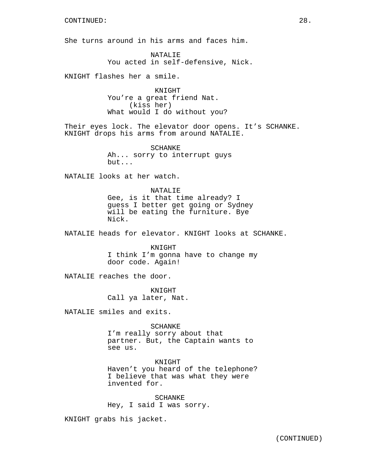She turns around in his arms and faces him.

NATALIE You acted in self-defensive, Nick.

KNIGHT flashes her a smile.

KNIGHT You're a great friend Nat. (kiss her) What would I do without you?

Their eyes lock. The elevator door opens. It's SCHANKE. KNIGHT drops his arms from around NATALIE.

> SCHANKE Ah... sorry to interrupt guys but...

NATALIE looks at her watch.

NATALIE Gee, is it that time already? I guess I better get going or Sydney will be eating the furniture. Bye Nick.

NATALIE heads for elevator. KNIGHT looks at SCHANKE.

KNIGHT I think I'm gonna have to change my door code. Again!

NATALIE reaches the door.

KNIGHT Call ya later, Nat.

NATALIE smiles and exits.

SCHANKE I'm really sorry about that partner. But, the Captain wants to see us.

KNIGHT Haven't you heard of the telephone? I believe that was what they were invented for.

SCHANKE Hey, I said I was sorry.

KNIGHT grabs his jacket.